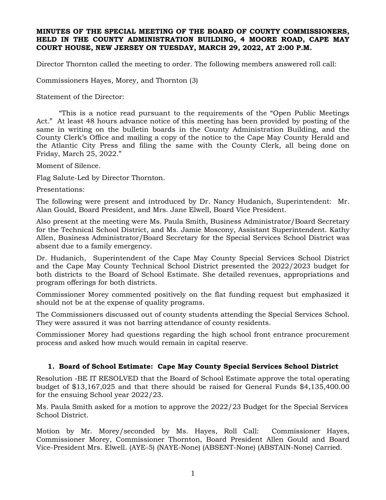## **MINUTES OF THE SPECIAL MEETING OF THE BOARD OF COUNTY COMMISSIONERS, HELD IN THE COUNTY ADMINISTRATION BUILDING, 4 MOORE ROAD, CAPE MAY COURT HOUSE, NEW JERSEY ON TUESDAY, MARCH 29, 2022, AT 2:00 P.M.**

Director Thornton called the meeting to order. The following members answered roll call:

Commissioners Hayes, Morey, and Thornton (3)

Statement of the Director:

"This is a notice read pursuant to the requirements of the "Open Public Meetings Act." At least 48 hours advance notice of this meeting has been provided by posting of the same in writing on the bulletin boards in the County Administration Building, and the County Clerk's Office and mailing a copy of the notice to the Cape May County Herald and the Atlantic City Press and filing the same with the County Clerk, all being done on Friday, March 25, 2022."

Moment of Silence.

Flag Salute-Led by Director Thornton.

Presentations:

The following were present and introduced by Dr. Nancy Hudanich, Superintendent: Mr. Alan Gould, Board President, and Mrs. Jane Elwell, Board Vice President.

Also present at the meeting were Ms. Paula Smith, Business Administrator/Board Secretary for the Technical School District, and Ms. Jamie Moscony, Assistant Superintendent. Kathy Allen, Business Administrator/Board Secretary for the Special Services School District was absent due to a family emergency.

Dr. Hudanich, Superintendent of the Cape May County Special Services School District and the Cape May County Technical School District presented the 2022/2023 budget for both districts to the Board of School Estimate. She detailed revenues, appropriations and program offerings for both districts.

Commissioner Morey commented positively on the flat funding request but emphasized it should not be at the expense of quality programs.

The Commissioners discussed out of county students attending the Special Services School. They were assured it was not barring attendance of county residents.

Commissioner Morey had questions regarding the high school front entrance procurement process and asked how much would remain in capital reserve.

## **1. Board of School Estimate: Cape May County Special Services School District**

Resolution -BE IT RESOLVED that the Board of School Estimate approve the total operating budget of \$13,167,025 and that there should be raised for General Funds \$4,135,400.00 for the ensuing School year 2022/23.

Ms. Paula Smith asked for a motion to approve the 2022/23 Budget for the Special Services School District.

Motion by Mr. Morey/seconded by Ms. Hayes, Roll Call: Commissioner Hayes, Commissioner Morey, Commissioner Thornton, Board President Allen Gould and Board Vice-President Mrs. Elwell. (AYE-5) (NAYE-None) (ABSENT-None) (ABSTAIN-None) Carried.